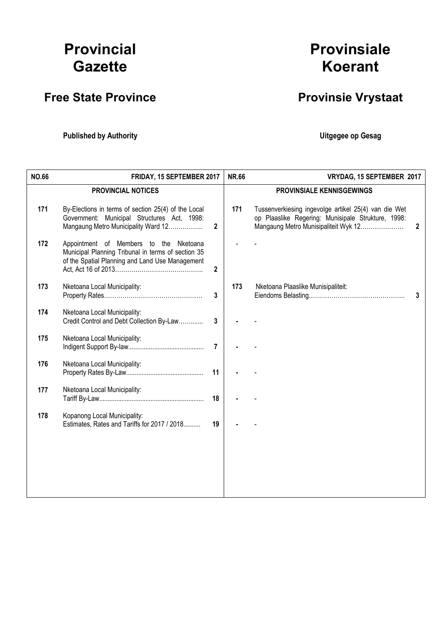# Provincial **Gazette**

# Free State Province **Provinsie Vrystaat**

Published by Authority **National Execution Control Control Control Control Control Control Control Control Control Control Control Control Control Control Control Control Control Control Control Control Control Control Con** 

# Provinsiale Koerant

| <b>NO.66</b> | FRIDAY, 15 SEPTEMBER 2017                                                                                                                       |                | <b>NR.66</b><br>VRYDAG, 15 SEPTEMBER 2017 |                                                                                                                                                                    |  |
|--------------|-------------------------------------------------------------------------------------------------------------------------------------------------|----------------|-------------------------------------------|--------------------------------------------------------------------------------------------------------------------------------------------------------------------|--|
|              | <b>PROVINCIAL NOTICES</b>                                                                                                                       |                |                                           | <b>PROVINSIALE KENNISGEWINGS</b>                                                                                                                                   |  |
| 171          | By-Elections in terms of section 25(4) of the Local<br>Government: Municipal Structures Act, 1998:<br>Mangaung Metro Municipality Ward 12       | $\overline{2}$ | 171                                       | Tussenverkiesing ingevolge artikel 25(4) van die Wet<br>op Plaaslike Regering: Munisipale Strukture, 1998:<br>Mangaung Metro Munisipaliteit Wyk 12<br>$\mathbf{2}$ |  |
| 172          | Appointment of Members to the Nketoana<br>Municipal Planning Tribunal in terms of section 35<br>of the Spatial Planning and Land Use Management | $\overline{2}$ |                                           |                                                                                                                                                                    |  |
| 173          | Nketoana Local Municipality:                                                                                                                    | $\overline{3}$ | 173                                       | Nketoana Plaaslike Munisipaliteit:<br>3                                                                                                                            |  |
| 174          | Nketoana Local Municipality:<br>Credit Control and Debt Collection By-Law                                                                       | 3              |                                           |                                                                                                                                                                    |  |
| 175          | Nketoana Local Municipality:                                                                                                                    | $\overline{7}$ |                                           |                                                                                                                                                                    |  |
| 176          | Nketoana Local Municipality:                                                                                                                    | 11             |                                           |                                                                                                                                                                    |  |
| 177          | Nketoana Local Municipality:                                                                                                                    | 18             |                                           |                                                                                                                                                                    |  |
| 178          | Kopanong Local Municipality:<br>Estimates, Rates and Tariffs for 2017 / 2018                                                                    | 19             |                                           |                                                                                                                                                                    |  |
|              |                                                                                                                                                 |                |                                           |                                                                                                                                                                    |  |
|              |                                                                                                                                                 |                |                                           |                                                                                                                                                                    |  |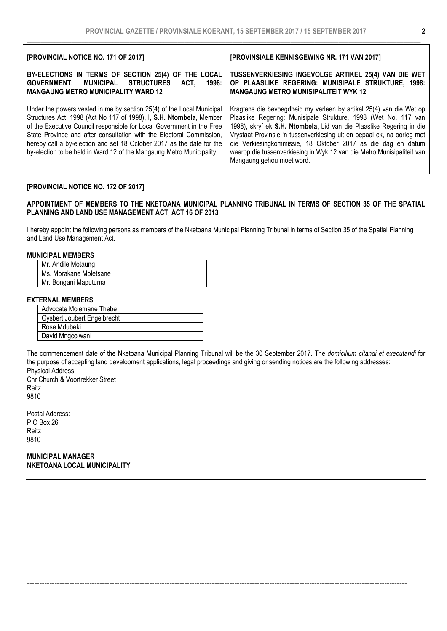| [PROVINCIAL NOTICE NO. 171 OF 2017]                                                                                                                                                                                                                                                                                                                                                                                                             | [PROVINSIALE KENNISGEWING NR. 171 VAN 2017]                                                                                                                                                                                                                                                                                                                                                                                                                     |
|-------------------------------------------------------------------------------------------------------------------------------------------------------------------------------------------------------------------------------------------------------------------------------------------------------------------------------------------------------------------------------------------------------------------------------------------------|-----------------------------------------------------------------------------------------------------------------------------------------------------------------------------------------------------------------------------------------------------------------------------------------------------------------------------------------------------------------------------------------------------------------------------------------------------------------|
| BY-ELECTIONS IN TERMS OF SECTION 25(4) OF THE LOCAL<br>MUNICIPAL<br><b>STRUCTURES</b><br><b>GOVERNMENT:</b><br>ACT.<br>1998:<br><b>MANGAUNG METRO MUNICIPALITY WARD 12</b>                                                                                                                                                                                                                                                                      | TUSSENVERKIESING INGEVOLGE ARTIKEL 25(4) VAN DIE WET<br>OP PLAASLIKE REGERING: MUNISIPALE STRUKTURE, 1998:<br><b>MANGAUNG METRO MUNISIPALITEIT WYK 12</b>                                                                                                                                                                                                                                                                                                       |
| Under the powers vested in me by section 25(4) of the Local Municipal<br>Structures Act, 1998 (Act No 117 of 1998), I, S.H. Ntombela, Member<br>of the Executive Council responsible for Local Government in the Free<br>State Province and after consultation with the Electoral Commission,<br>hereby call a by-election and set 18 October 2017 as the date for the<br>by-election to be held in Ward 12 of the Mangaung Metro Municipality. | Kragtens die bevoegdheid my verleen by artikel 25(4) van die Wet op<br>Plaaslike Regering: Munisipale Strukture, 1998 (Wet No. 117 van<br>1998), skryf ek S.H. Ntombela, Lid van die Plaaslike Regering in die<br>Vrystaat Provinsie 'n tussenverkiesing uit en bepaal ek, na oorleg met<br>die Verkiesingkommissie, 18 Oktober 2017 as die dag en datum<br>waarop die tussenverkiesing in Wyk 12 van die Metro Munisipaliteit van<br>Mangaung gehou moet word. |

# [PROVINCIAL NOTICE NO. 172 OF 2017]

### APPOINTMENT OF MEMBERS TO THE NKETOANA MUNICIPAL PLANNING TRIBUNAL IN TERMS OF SECTION 35 OF THE SPATIAL PLANNING AND LAND USE MANAGEMENT ACT, ACT 16 OF 2013

I hereby appoint the following persons as members of the Nketoana Municipal Planning Tribunal in terms of Section 35 of the Spatial Planning and Land Use Management Act.

#### MUNICIPAL MEMBERS

| Mr. Andile Motaung     |  |
|------------------------|--|
| Ms. Morakane Moletsane |  |
| Mr. Bongani Maputuma   |  |

# EXTERNAL MEMBERS

| Advocate Molemane Thebe            |
|------------------------------------|
| <b>Gysbert Joubert Engelbrecht</b> |
| Rose Mdubeki                       |
| David Mngcolwani                   |

The commencement date of the Nketoana Municipal Planning Tribunal will be the 30 September 2017. The *domicilium citandi et executandi* for the purpose of accepting land development applications, legal proceedings and giving or sending notices are the following addresses: Physical Address:

--------------------------------------------------------------------------------------------------------------------------------------------------------

Cnr Church & Voortrekker Street Reitz 9810

Postal Address: P O Box 26 Reitz 9810

MUNICIPAL MANAGER NKETOANA LOCAL MUNICIPALITY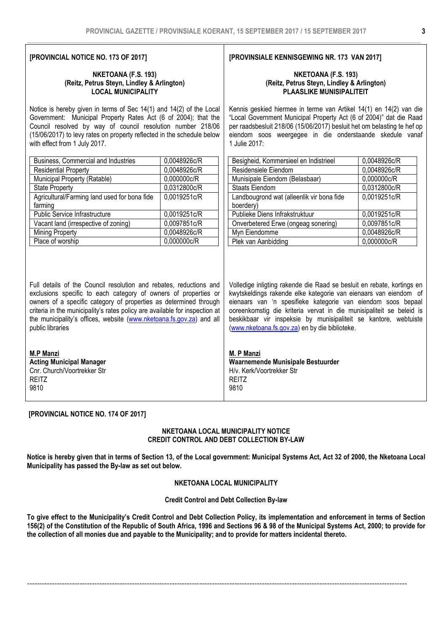# [PROVINCIAL NOTICE NO. 173 OF 2017]

#### NKETOANA (F.S. 193) (Reitz, Petrus Steyn, Lindley & Arlington) LOCAL MUNICIPALITY

Notice is hereby given in terms of Sec 14(1) and 14(2) of the Local Government: Municipal Property Rates Act (6 of 2004); that the Council resolved by way of council resolution number 218/06 (15/06/2017) to levy rates on property reflected in the schedule below with effect from 1 July 2017.

| Business, Commercial and Industries          | 0,0048926c/R |
|----------------------------------------------|--------------|
| <b>Residential Property</b>                  | 0,0048926c/R |
| Municipal Property (Ratable)                 | 0,000000c/R  |
| <b>State Property</b>                        | 0,0312800c/R |
| Agricultural/Farming land used for bona fide | 0,0019251c/R |
| farming                                      |              |
| <b>Public Service Infrastructure</b>         | 0,0019251c/R |
| Vacant land (irrespective of zoning)         | 0,0097851c/R |
| <b>Mining Property</b>                       | 0,0048926c/R |
| Place of worship                             | 0.000000c/R  |

Full details of the Council resolution and rebates, reductions and exclusions specific to each category of owners of properties or owners of a specific category of properties as determined through criteria in the municipality's rates policy are available for inspection at the municipality's offices, website (www.nketoana.fs.gov.za) and all public libraries

| <b>M.P Manzi</b>                |
|---------------------------------|
| <b>Acting Municipal Manager</b> |
| Cnr. Church/Voortrekker Str     |
| RFITZ                           |
| 9810                            |

[PROVINCIAL NOTICE NO. 174 OF 2017]

# NKETOANA LOCAL MUNICIPALITY NOTICE CREDIT CONTROL AND DEBT COLLECTION BY-LAW

Notice is hereby given that in terms of Section 13, of the Local government: Municipal Systems Act, Act 32 of 2000, the Nketoana Local Municipality has passed the By-law as set out below.

# NKETOANA LOCAL MUNICIPALITY

#### Credit Control and Debt Collection By-law

To give effect to the Municipality's Credit Control and Debt Collection Policy, its implementation and enforcement in terms of Section 156(2) of the Constitution of the Republic of South Africa, 1996 and Sections 96 & 98 of the Municipal Systems Act, 2000; to provide for the collection of all monies due and payable to the Municipality; and to provide for matters incidental thereto.

--------------------------------------------------------------------------------------------------------------------------------------------------------

#### [PROVINSIALE KENNISGEWING NR. 173 VAN 2017]

#### NKETOANA (F.S. 193) (Reitz, Petrus Steyn, Lindley & Arlington) PLAASLIKE MUNISIPALITEIT

Kennis geskied hiermee in terme van Artikel 14(1) en 14(2) van die "Local Government Municipal Property Act (6 of 2004)" dat die Raad per raadsbesluit 218/06 (15/06/2017) besluit het om belasting te hef op eiendom soos weergegee in die onderstaande skedule vanaf 1 Julie 2017:

| Besigheid, Kommersieel en Indistrieel     | 0,0048926c/R |
|-------------------------------------------|--------------|
| Residensiele Eiendom                      | 0,0048926c/R |
| Munisipale Eiendom (Belasbaar)            | 0,000000c/R  |
| <b>Staats Eiendom</b>                     | 0,0312800c/R |
| Landbougrond wat (alleenlik vir bona fide | 0,0019251c/R |
| boerdery)                                 |              |
| Publieke Diens Infrakstruktuur            | 0,0019251c/R |
| Onverbetered Erwe (ongeag sonering)       | 0,0097851c/R |
| Myn Eiendomme                             | 0,0048926c/R |
| Plek van Aanbidding                       | 0.000000c/R  |

Volledige inligting rakende die Raad se besluit en rebate, kortings en kwytskeldings rakende elke kategorie van eienaars van eiendom of eienaars van 'n spesifieke kategorie van eiendom soos bepaal ooreenkomstig die kriteria vervat in die munisipaliteit se beleid is beskikbaar vir inspeksie by munisipaliteit se kantore, webtuiste (www.nketoana.fs.gov.za) en by die biblioteke.

M. P Manzi Waarnemende Munisipale Bestuurder H/v. Kerk/Voortrekker Str REITZ 9810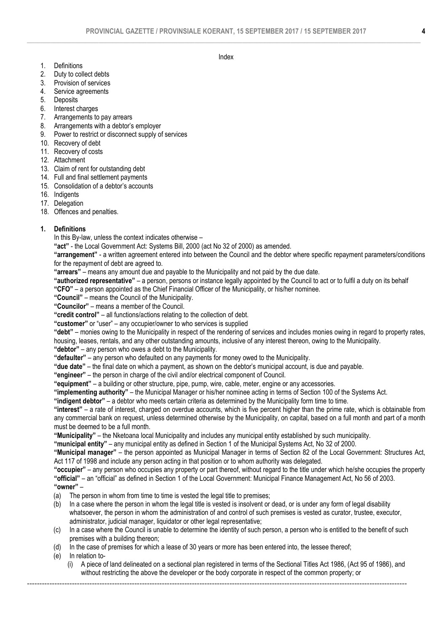Index

- 1. Definitions
- 2. Duty to collect debts
- 3. Provision of services
- 4. Service agreements
- 5. Deposits
- 6. Interest charges
- 7. Arrangements to pay arrears
- 8. Arrangements with a debtor's employer
- 9. Power to restrict or disconnect supply of services
- 10. Recovery of debt
- 11. Recovery of costs
- 12. Attachment
- 13. Claim of rent for outstanding debt
- 14. Full and final settlement payments
- 15. Consolidation of a debtor's accounts
- 16. Indigents
- 17. Delegation
- 18. Offences and penalties.

# 1. Definitions

In this By-law, unless the context indicates otherwise –

"act" - the Local Government Act: Systems Bill, 2000 (act No 32 of 2000) as amended.

"arrangement" - a written agreement entered into between the Council and the debtor where specific repayment parameters/conditions for the repayment of debt are agreed to.

"arrears" – means any amount due and payable to the Municipality and not paid by the due date.

"authorized representative" – a person, persons or instance legally appointed by the Council to act or to fulfil a duty on its behalf "CFO" – a person appointed as the Chief Financial Officer of the Municipality, or his/her nominee.

"Council" – means the Council of the Municipality.

"Councilor" – means a member of the Council.

"credit control" – all functions/actions relating to the collection of debt.

"customer" or "user" – any occupier/owner to who services is supplied

"debt" – monies owing to the Municipality in respect of the rendering of services and includes monies owing in regard to property rates, housing, leases, rentals, and any other outstanding amounts, inclusive of any interest thereon, owing to the Municipality.

"debtor" – any person who owes a debt to the Municipality.

"defaulter" – any person who defaulted on any payments for money owed to the Municipality.

"due date" – the final date on which a payment, as shown on the debtor's municipal account, is due and payable.

"engineer" – the person in charge of the civil and/or electrical component of Council.

"equipment" – a building or other structure, pipe, pump, wire, cable, meter, engine or any accessories.

"implementing authority" – the Municipal Manager or his/her nominee acting in terms of Section 100 of the Systems Act.

"indigent debtor" – a debtor who meets certain criteria as determined by the Municipality form time to time.

"interest" – a rate of interest, charged on overdue accounts, which is five percent higher than the prime rate, which is obtainable from any commercial bank on request, unless determined otherwise by the Municipality, on capital, based on a full month and part of a month must be deemed to be a full month.

"Municipality" – the Nketoana local Municipality and includes any municipal entity established by such municipality.

"municipal entity" – any municipal entity as defined in Section 1 of the Municipal Systems Act, No 32 of 2000.

"Municipal manager" – the person appointed as Municipal Manager in terms of Section 82 of the Local Government: Structures Act, Act 117 of 1998 and include any person acting in that position or to whom authority was delegated.

"occupier" – any person who occupies any property or part thereof, without regard to the title under which he/she occupies the property "official" – an "official" as defined in Section 1 of the Local Government: Municipal Finance Management Act, No 56 of 2003. "owner" –

- (a) The person in whom from time to time is vested the legal title to premises;
- (b) In a case where the person in whom the legal title is vested is insolvent or dead, or is under any form of legal disability whatsoever, the person in whom the administration of and control of such premises is vested as curator, trustee, executor, administrator, judicial manager, liquidator or other legal representative;
- (c) In a case where the Council is unable to determine the identity of such person, a person who is entitled to the benefit of such premises with a building thereon;
- (d) In the case of premises for which a lease of 30 years or more has been entered into, the lessee thereof;

(e) In relation to-

(i) A piece of land delineated on a sectional plan registered in terms of the Sectional Titles Act 1986, (Act 95 of 1986), and without restricting the above the developer or the body corporate in respect of the common property; or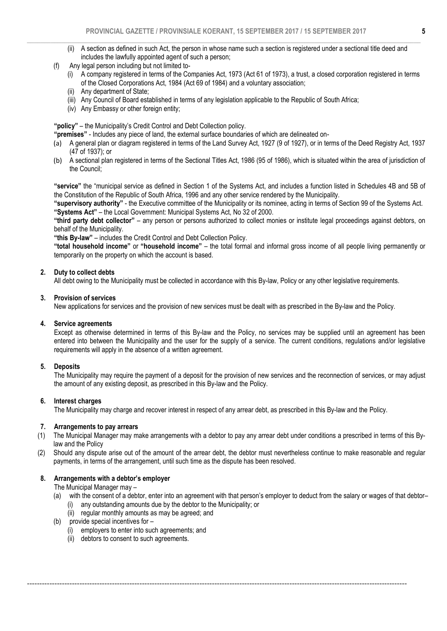- (ii) A section as defined in such Act, the person in whose name such a section is registered under a sectional title deed and includes the lawfully appointed agent of such a person;
- (f) Any legal person including but not limited to-
	- (i) A company registered in terms of the Companies Act, 1973 (Act 61 of 1973), a trust, a closed corporation registered in terms of the Closed Corporations Act, 1984 (Act 69 of 1984) and a voluntary association;
	- (ii) Any department of State;
	- (iii) Any Council of Board established in terms of any legislation applicable to the Republic of South Africa;
	- (iv) Any Embassy or other foreign entity;

"policy" – the Municipality's Credit Control and Debt Collection policy.

"premises" - Includes any piece of land, the external surface boundaries of which are delineated on-

- (a) A general plan or diagram registered in terms of the Land Survey Act, 1927 (9 of 1927), or in terms of the Deed Registry Act, 1937 (47 of 1937); or
- (b) A sectional plan registered in terms of the Sectional Titles Act, 1986 (95 of 1986), which is situated within the area of jurisdiction of the Council;

"service" the "municipal service as defined in Section 1 of the Systems Act, and includes a function listed in Schedules 4B and 5B of the Constitution of the Republic of South Africa, 1996 and any other service rendered by the Municipality.

"supervisory authority" - the Executive committee of the Municipality or its nominee, acting in terms of Section 99 of the Systems Act. "Systems Act" – the Local Government: Municipal Systems Act, No 32 of 2000.

"third party debt collector" – any person or persons authorized to collect monies or institute legal proceedings against debtors, on behalf of the Municipality.

"this By-law" – includes the Credit Control and Debt Collection Policy.

"total household income" or "household income" – the total formal and informal gross income of all people living permanently or temporarily on the property on which the account is based.

#### 2. Duty to collect debts

All debt owing to the Municipality must be collected in accordance with this By-law, Policy or any other legislative requirements.

#### 3. Provision of services

New applications for services and the provision of new services must be dealt with as prescribed in the By-law and the Policy.

#### 4. Service agreements

Except as otherwise determined in terms of this By-law and the Policy, no services may be supplied until an agreement has been entered into between the Municipality and the user for the supply of a service. The current conditions, regulations and/or legislative requirements will apply in the absence of a written agreement.

#### 5. Deposits

The Municipality may require the payment of a deposit for the provision of new services and the reconnection of services, or may adjust the amount of any existing deposit, as prescribed in this By-law and the Policy.

#### 6. Interest charges

The Municipality may charge and recover interest in respect of any arrear debt, as prescribed in this By-law and the Policy.

--------------------------------------------------------------------------------------------------------------------------------------------------------

#### 7. Arrangements to pay arrears

- (1) The Municipal Manager may make arrangements with a debtor to pay any arrear debt under conditions a prescribed in terms of this Bylaw and the Policy
- (2) Should any dispute arise out of the amount of the arrear debt, the debtor must nevertheless continue to make reasonable and regular payments, in terms of the arrangement, until such time as the dispute has been resolved.

# 8. Arrangements with a debtor's employer

The Municipal Manager may –

- (a) with the consent of a debtor, enter into an agreement with that person's employer to deduct from the salary or wages of that debtor– (i) any outstanding amounts due by the debtor to the Municipality; or
	- (ii) regular monthly amounts as may be agreed; and
- (b) provide special incentives for
	- (i) employers to enter into such agreements; and
	- (ii) debtors to consent to such agreements.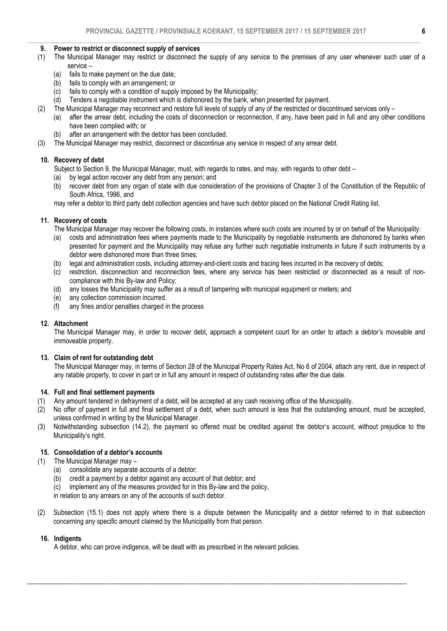#### 9. Power to restrict or disconnect supply of services

- (1) The Municipal Manager may restrict or disconnect the supply of any service to the premises of any user whenever such user of a service –
	- (a) fails to make payment on the due date;
	- (b) fails to comply with an arrangement; or
	- (c) fails to comply with a condition of supply imposed by the Municipality;
	- (d) Tenders a negotiable instrument which is dishonored by the bank, when presented for payment.
- (2) The Municipal Manager may reconnect and restore full levels of supply of any of the restricted or discontinued services only
	- (a) after the arrear debt, including the costs of disconnection or reconnection, if any, have been paid in full and any other conditions have been complied with; or
	- (b) after an arrangement with the debtor has been concluded.
- (3) The Municipal Manager may restrict, disconnect or discontinue any service in respect of any arrear debt.

# 10. Recovery of debt

Subject to Section 9, the Municipal Manager, must, with regards to rates, and may, with regards to other debt –<br>(a) by legal action recover any debt from any person; and

- by legal action recover any debt from any person; and
- (b) recover debt from any organ of state with due consideration of the provisions of Chapter 3 of the Constitution of the Republic of South Africa, 1996, and

may refer a debtor to third party debt collection agencies and have such debtor placed on the National Credit Rating list.

#### 11. Recovery of costs

The Municipal Manager may recover the following costs, in instances where such costs are incurred by or on behalf of the Municipality:

- (a) costs and administration fees where payments made to the Municipality by negotiable instruments are dishonored by banks when presented for payment and the Municipality may refuse any further such negotiable instruments in future if such instruments by a debtor were dishonored more than three times;
- (b) legal and administration costs, including attorney-and-client costs and tracing fees incurred in the recovery of debts;
- (c) restriction, disconnection and reconnection fees, where any service has been restricted or disconnected as a result of noncompliance with this By-law and Policy;
- (d) any losses the Municipality may suffer as a result of tampering with municipal equipment or meters; and (e) any collection commission incurred.
- any collection commission incurred.
- (f) any fines and/or penalties charged in the process

#### 12. Attachment

The Municipal Manager may, in order to recover debt, approach a competent court for an order to attach a debtor's moveable and immoveable property.

#### 13. Claim of rent for outstanding debt

The Municipal Manager may, in terms of Section 28 of the Municipal Property Rates Act, No 6 of 2004, attach any rent, due in respect of any ratable property, to cover in part or in full any amount in respect of outstanding rates after the due date.

#### 14. Full and final settlement payments

- (1) Any amount tendered in defrayment of a debt, will be accepted at any cash receiving office of the Municipality.
- (2) No offer of payment in full and final settlement of a debt, when such amount is less that the outstanding amount, must be accepted, unless confirmed in writing by the Municipal Manager.
- (3) Notwithstanding subsection (14.2), the payment so offered must be credited against the debtor's account, without prejudice to the Municipality's right.

### 15. Consolidation of a debtor's accounts

- (1) The Municipal Manager may
	- (a) consolidate any separate accounts of a debtor;
	- (b) credit a payment by a debtor against any account of that debtor; and (c) implement any of the measures provided for in this Bv-law and the no
	- implement any of the measures provided for in this By-law and the policy,

in relation to any arrears on any of the accounts of such debtor.

(2) Subsection (15.1) does not apply where there is a dispute between the Municipality and a debtor referred to in that subsection concerning any specific amount claimed by the Municipality from that person.

--------------------------------------------------------------------------------------------------------------------------------------------------------

#### 16. Indigents

A debtor, who can prove indigence, will be dealt with as prescribed in the relevant policies.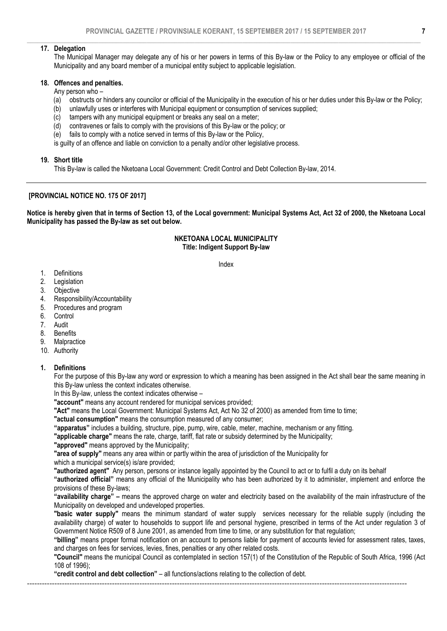#### 17. Delegation

The Municipal Manager may delegate any of his or her powers in terms of this By-law or the Policy to any employee or official of the Municipality and any board member of a municipal entity subject to applicable legislation.

#### 18. Offences and penalties.

# Any person who –

- (a) obstructs or hinders any councilor or official of the Municipality in the execution of his or her duties under this By-law or the Policy;
- (b) unlawfully uses or interferes with Municipal equipment or consumption of services supplied;
- (c) tampers with any municipal equipment or breaks any seal on a meter;
- (d) contravenes or fails to comply with the provisions of this By-law or the policy; or
- (e) fails to comply with a notice served in terms of this By-law or the Policy,

is guilty of an offence and liable on conviction to a penalty and/or other legislative process.

#### 19. Short title

This By-law is called the Nketoana Local Government: Credit Control and Debt Collection By-law, 2014.

### [PROVINCIAL NOTICE NO. 175 OF 2017]

Notice is hereby given that in terms of Section 13, of the Local government: Municipal Systems Act, Act 32 of 2000, the Nketoana Local Municipality has passed the By-law as set out below.

#### NKETOANA LOCAL MUNICIPALITY Title: Indigent Support By-law

Index

- 1. Definitions
- 2. Legislation<br>3. Objective
- **Objective**
- 4. Responsibility/Accountability
- 5. Procedures and program
- 6. Control<br>7. Audit
- 7. Audit
- 8. Benefits
- 9. Malpractice
- 10. Authority

#### 1. Definitions

For the purpose of this By-law any word or expression to which a meaning has been assigned in the Act shall bear the same meaning in this By-law unless the context indicates otherwise.

In this By-law, unless the context indicates otherwise –

"account" means any account rendered for municipal services provided;

"Act" means the Local Government: Municipal Systems Act, Act No 32 of 2000) as amended from time to time;

"actual consumption" means the consumption measured of any consumer;

"apparatus" includes a building, structure, pipe, pump, wire, cable, meter, machine, mechanism or any fitting.

"applicable charge" means the rate, charge, tariff, flat rate or subsidy determined by the Municipality;

"approved" means approved by the Municipality;

"area of supply" means any area within or partly within the area of jurisdiction of the Municipality for

which a municipal service(s) is/are provided;

"authorized agent" Any person, persons or instance legally appointed by the Council to act or to fulfil a duty on its behalf

"authorized official" means any official of the Municipality who has been authorized by it to administer, implement and enforce the provisions of these By-laws;

"availability charge" – means the approved charge on water and electricity based on the availability of the main infrastructure of the Municipality on developed and undeveloped properties.

"basic water supply" means the minimum standard of water supply services necessary for the reliable supply (including the availability charge) of water to households to support life and personal hygiene, prescribed in terms of the Act under regulation 3 of Government Notice R509 of 8 June 2001, as amended from time to time, or any substitution for that regulation;

"billing" means proper formal notification on an account to persons liable for payment of accounts levied for assessment rates, taxes, and charges on fees for services, levies, fines, penalties or any other related costs.

"Council" means the municipal Council as contemplated in section 157(1) of the Constitution of the Republic of South Africa, 1996 (Act 108 of 1996);

"credit control and debt collection" – all functions/actions relating to the collection of debt.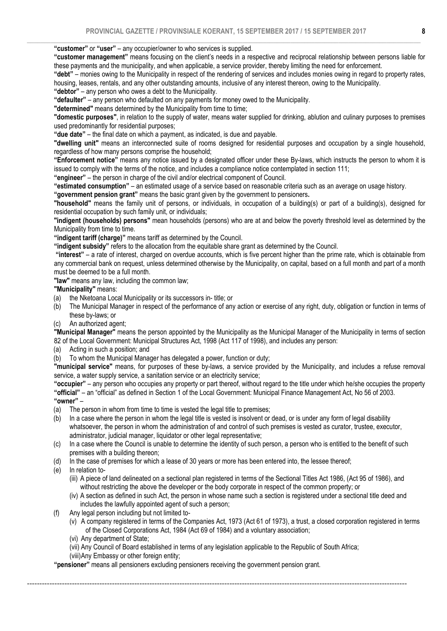"customer" or "user" – any occupier/owner to who services is supplied.

"customer management" means focusing on the client's needs in a respective and reciprocal relationship between persons liable for these payments and the municipality, and when applicable, a service provider, thereby limiting the need for enforcement.

"debt" – monies owing to the Municipality in respect of the rendering of services and includes monies owing in regard to property rates, housing, leases, rentals, and any other outstanding amounts, inclusive of any interest thereon, owing to the Municipality. "debtor" – any person who owes a debt to the Municipality.

"defaulter" – any person who defaulted on any payments for money owed to the Municipality.

"determined" means determined by the Municipality from time to time;

"domestic purposes", in relation to the supply of water, means water supplied for drinking, ablution and culinary purposes to premises used predominantly for residential purposes;

"due date" – the final date on which a payment, as indicated, is due and payable.

"dwelling unit" means an interconnected suite of rooms designed for residential purposes and occupation by a single household, regardless of how many persons comprise the household;

"Enforcement notice" means any notice issued by a designated officer under these By-laws, which instructs the person to whom it is issued to comply with the terms of the notice, and includes a compliance notice contemplated in section 111;

"engineer" – the person in charge of the civil and/or electrical component of Council.

"estimated consumption" – an estimated usage of a service based on reasonable criteria such as an average on usage history.

"government pension grant" means the basic grant given by the government to pensioners.

"household" means the family unit of persons, or individuals, in occupation of a building(s) or part of a building(s), designed for residential occupation by such family unit, or individuals;

"indigent (households) persons" mean households (persons) who are at and below the poverty threshold level as determined by the Municipality from time to time.

"indigent tariff (charge)" means tariff as determined by the Council.

"indigent subsidy" refers to the allocation from the equitable share grant as determined by the Council.

 "interest" – a rate of interest, charged on overdue accounts, which is five percent higher than the prime rate, which is obtainable from any commercial bank on request, unless determined otherwise by the Municipality, on capital, based on a full month and part of a month must be deemed to be a full month.

"law" means any law, including the common law;

"Municipality" means:

- (a) the Nketoana Local Municipality or its successors in- title; or
- (b) The Municipal Manager in respect of the performance of any action or exercise of any right, duty, obligation or function in terms of these by-laws; or
- (c) An authorized agent;

"Municipal Manager" means the person appointed by the Municipality as the Municipal Manager of the Municipality in terms of section 82 of the Local Government: Municipal Structures Act, 1998 (Act 117 of 1998), and includes any person:

(a) Acting in such a position; and

(b) To whom the Municipal Manager has delegated a power, function or duty;

"municipal service" means, for purposes of these by-laws, a service provided by the Municipality, and includes a refuse removal service, a water supply service, a sanitation service or an electricity service;

"occupier" – any person who occupies any property or part thereof, without regard to the title under which he/she occupies the property "official" – an "official" as defined in Section 1 of the Local Government: Municipal Finance Management Act, No 56 of 2003. "owner" –

- (a) The person in whom from time to time is vested the legal title to premises;
- (b) In a case where the person in whom the legal title is vested is insolvent or dead, or is under any form of legal disability whatsoever, the person in whom the administration of and control of such premises is vested as curator, trustee, executor, administrator, judicial manager, liquidator or other legal representative;

(c) In a case where the Council is unable to determine the identity of such person, a person who is entitled to the benefit of such premises with a building thereon;

(d) In the case of premises for which a lease of 30 years or more has been entered into, the lessee thereof;

(e) In relation to-

- (iii) A piece of land delineated on a sectional plan registered in terms of the Sectional Titles Act 1986, (Act 95 of 1986), and without restricting the above the developer or the body corporate in respect of the common property; or
- (iv) A section as defined in such Act, the person in whose name such a section is registered under a sectional title deed and includes the lawfully appointed agent of such a person;
- (f) Any legal person including but not limited to-
	- (v) A company registered in terms of the Companies Act, 1973 (Act 61 of 1973), a trust, a closed corporation registered in terms of the Closed Corporations Act, 1984 (Act 69 of 1984) and a voluntary association;
	- (vi) Any department of State;
	- (vii) Any Council of Board established in terms of any legislation applicable to the Republic of South Africa;

--------------------------------------------------------------------------------------------------------------------------------------------------------

(viii)Any Embassy or other foreign entity;

"pensioner" means all pensioners excluding pensioners receiving the government pension grant.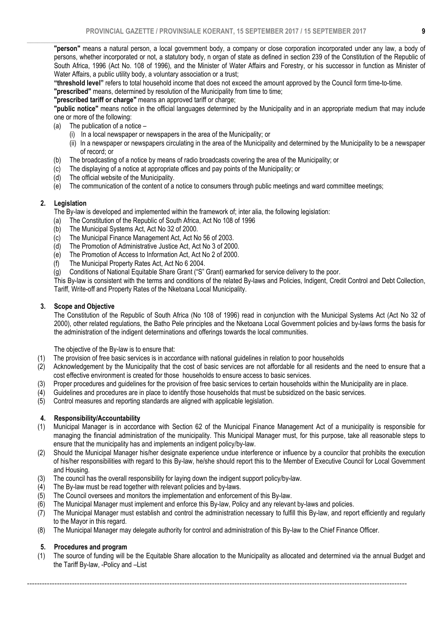$\_$  , and the set of the set of the set of the set of the set of the set of the set of the set of the set of the set of the set of the set of the set of the set of the set of the set of the set of the set of the set of th "person" means a natural person, a local government body, a company or close corporation incorporated under any law, a body of persons, whether incorporated or not, a statutory body, n organ of state as defined in section 239 of the Constitution of the Republic of South Africa, 1996 (Act No. 108 of 1996), and the Minister of Water Affairs and Forestry, or his successor in function as Minister of Water Affairs, a public utility body, a voluntary association or a trust;

"threshold level" refers to total household income that does not exceed the amount approved by the Council form time-to-time.

"prescribed" means, determined by resolution of the Municipality from time to time;

"prescribed tariff or charge" means an approved tariff or charge;

"public notice" means notice in the official languages determined by the Municipality and in an appropriate medium that may include one or more of the following:

- (a) The publication of a notice
	- (i) In a local newspaper or newspapers in the area of the Municipality; or
	- (ii) In a newspaper or newspapers circulating in the area of the Municipality and determined by the Municipality to be a newspaper of record; or
- (b) The broadcasting of a notice by means of radio broadcasts covering the area of the Municipality; or
- (c) The displaying of a notice at appropriate offices and pay points of the Municipality; or
- (d) The official website of the Municipality.
- (e) The communication of the content of a notice to consumers through public meetings and ward committee meetings;

#### 2. Legislation

The By-law is developed and implemented within the framework of; inter alia, the following legislation:

- (a) The Constitution of the Republic of South Africa, Act No 108 of 1996<br>(b) The Municipal Systems Act, Act No 32 of 2000.
- The Municipal Systems Act, Act No 32 of 2000.
- (c) The Municipal Finance Management Act, Act No 56 of 2003.
- (d) The Promotion of Administrative Justice Act, Act No 3 of 2000.
- (e) The Promotion of Access to Information Act, Act No 2 of 2000.
- (f) The Municipal Property Rates Act, Act No 6 2004.
- (g) Conditions of National Equitable Share Grant ("S" Grant) earmarked for service delivery to the poor.

This By-law is consistent with the terms and conditions of the related By-laws and Policies, Indigent, Credit Control and Debt Collection, Tariff, Write-off and Property Rates of the Nketoana Local Municipality.

#### 3. Scope and Objective

The Constitution of the Republic of South Africa (No 108 of 1996) read in conjunction with the Municipal Systems Act (Act No 32 of 2000), other related regulations, the Batho Pele principles and the Nketoana Local Government policies and by-laws forms the basis for the administration of the indigent determinations and offerings towards the local communities.

The objective of the By-law is to ensure that:

- (1) The provision of free basic services is in accordance with national guidelines in relation to poor households
- (2) Acknowledgement by the Municipality that the cost of basic services are not affordable for all residents and the need to ensure that a cost effective environment is created for those households to ensure access to basic services.
- (3) Proper procedures and guidelines for the provision of free basic services to certain households within the Municipality are in place.
- (4) Guidelines and procedures are in place to identify those households that must be subsidized on the basic services.
- (5) Control measures and reporting standards are aligned with applicable legislation.

#### 4. Responsibility/Accountability

- (1) Municipal Manager is in accordance with Section 62 of the Municipal Finance Management Act of a municipality is responsible for managing the financial administration of the municipality. This Municipal Manager must, for this purpose, take all reasonable steps to ensure that the municipality has and implements an indigent policy/by-law.
- (2) Should the Municipal Manager his/her designate experience undue interference or influence by a councilor that prohibits the execution of his/her responsibilities with regard to this By-law, he/she should report this to the Member of Executive Council for Local Government and Housing.
- (3) The council has the overall responsibility for laying down the indigent support policy/by-law.<br>(4) The By-law must be read together with relevant policies and by-laws.
- The By-law must be read together with relevant policies and by-laws.
- $(5)$  The Council oversees and monitors the implementation and enforcement of this By-law.
- (6) The Municipal Manager must implement and enforce this By-law, Policy and any relevant by-laws and policies.
- $(7)$  The Municipal Manager must establish and control the administration necessary to fulfill this By-law, and report efficiently and regularly to the Mayor in this regard.
- (8) The Municipal Manager may delegate authority for control and administration of this By-law to the Chief Finance Officer.

#### 5. Procedures and program

(1) The source of funding will be the Equitable Share allocation to the Municipality as allocated and determined via the annual Budget and the Tariff By-law, -Policy and –List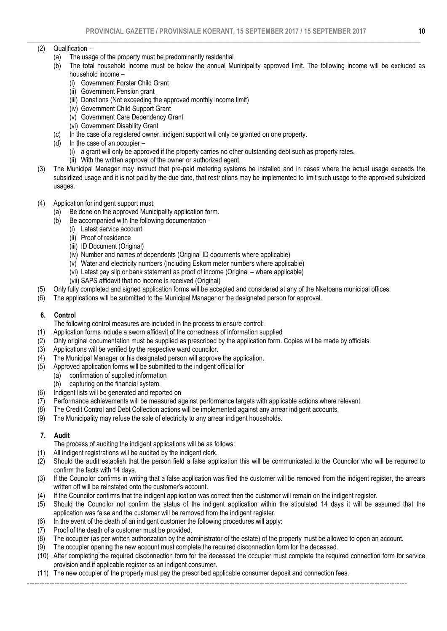#### $\_$  , and the set of the set of the set of the set of the set of the set of the set of the set of the set of the set of the set of the set of the set of the set of the set of the set of the set of the set of the set of th (2) Qualification –

- (a) The usage of the property must be predominantly residential<br>(b) The total household income must be below the annual Mi
- The total household income must be below the annual Municipality approved limit. The following income will be excluded as household income –
	- (i) Government Forster Child Grant
	- (ii) Government Pension grant
	- (iii) Donations (Not exceeding the approved monthly income limit)
	- (iv) Government Child Support Grant
	- (v) Government Care Dependency Grant
	- (vi) Government Disability Grant
- (c) In the case of a registered owner, indigent support will only be granted on one property.
- (d) In the case of an occupier
	- (i) a grant will only be approved if the property carries no other outstanding debt such as property rates.
	- (ii) With the written approval of the owner or authorized agent.
- (3) The Municipal Manager may instruct that pre-paid metering systems be installed and in cases where the actual usage exceeds the subsidized usage and it is not paid by the due date, that restrictions may be implemented to limit such usage to the approved subsidized usages.

# (4) Application for indigent support must:

- (a) Be done on the approved Municipality application form.
- (b) Be accompanied with the following documentation
	- (i) Latest service account
	- (ii) Proof of residence
	- (iii) ID Document (Original)
	- (iv) Number and names of dependents (Original ID documents where applicable)
	- (v) Water and electricity numbers (Including Eskom meter numbers where applicable)
	- (vi) Latest pay slip or bank statement as proof of income (Original where applicable)
	- (vii) SAPS affidavit that no income is received (Original)
- (5) Only fully completed and signed application forms will be accepted and considered at any of the Nketoana municipal offices.
- (6) The applications will be submitted to the Municipal Manager or the designated person for approval.

# 6. Control

- The following control measures are included in the process to ensure control:
- (1) Application forms include a sworn affidavit of the correctness of information supplied
- (2) Only original documentation must be supplied as prescribed by the application form. Copies will be made by officials.
- (3) Applications will be verified by the respective ward councilor.
- $(4)$  The Municipal Manager or his designated person will approve the application.
- (5) Approved application forms will be submitted to the indigent official for
	- (a) confirmation of supplied information
		- (b) capturing on the financial system.
- (6) Indigent lists will be generated and reported on
- (7) Performance achievements will be measured against performance targets with applicable actions where relevant.
- (8) The Credit Control and Debt Collection actions will be implemented against any arrear indigent accounts.
- (9) The Municipality may refuse the sale of electricity to any arrear indigent households.

# 7. Audit

- The process of auditing the indigent applications will be as follows:
- (1) All indigent registrations will be audited by the indigent clerk.
- (2) Should the audit establish that the person field a false application this will be communicated to the Councilor who will be required to confirm the facts with 14 days.
- (3) If the Councilor confirms in writing that a false application was filed the customer will be removed from the indigent register, the arrears written off will be reinstated onto the customer's account.
- (4) If the Councilor confirms that the indigent application was correct then the customer will remain on the indigent register.
- (5) Should the Councilor not confirm the status of the indigent application within the stipulated 14 days it will be assumed that the application was false and the customer will be removed from the indigent register.
- (6) In the event of the death of an indigent customer the following procedures will apply:
- (7) Proof of the death of a customer must be provided.
- (8) The occupier (as per written authorization by the administrator of the estate) of the property must be allowed to open an account.
- (9) The occupier opening the new account must complete the required disconnection form for the deceased.
- (10) After completing the required disconnection form for the deceased the occupier must complete the required connection form for service provision and if applicable register as an indigent consumer.
- (11) The new occupier of the property must pay the prescribed applicable consumer deposit and connection fees.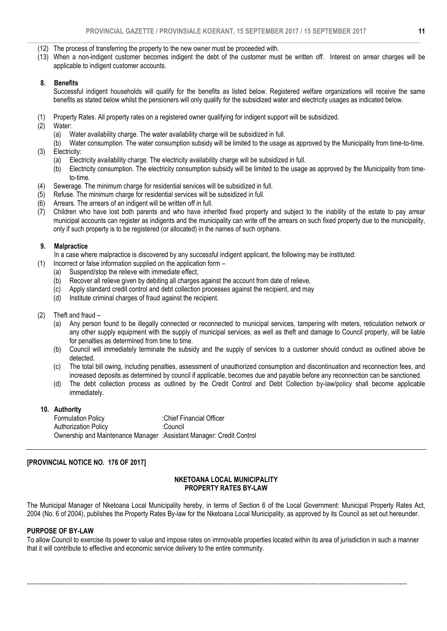- (12) The process of transferring the property to the new owner must be proceeded with.
- (13) When a non-indigent customer becomes indigent the debt of the customer must be written off. Interest on arrear charges will be applicable to indigent customer accounts.

#### 8. Benefits

Successful indigent households will qualify for the benefits as listed below. Registered welfare organizations will receive the same benefits as stated below whilst the pensioners will only qualify for the subsidized water and electricity usages as indicated below.

- (1) Property Rates. All property rates on a registered owner qualifying for indigent support will be subsidized.
- (2) Water:
	- (a) Water availability charge. The water availability charge will be subsidized in full.
- (b) Water consumption. The water consumption subsidy will be limited to the usage as approved by the Municipality from time-to-time. (3) Electricity:
- - (a) Electricity availability charge. The electricity availability charge will be subsidized in full.
	- (b) Electricity consumption. The electricity consumption subsidy will be limited to the usage as approved by the Municipality from timeto-time.
- (4) Sewerage. The minimum charge for residential services will be subsidized in full.
- (5) Refuse. The minimum charge for residential services will be subsidized in full.
- (6) Arrears. The arrears of an indigent will be written off in full.
- (7) Children who have lost both parents and who have inherited fixed property and subject to the inability of the estate to pay arrear municipal accounts can register as indigents and the municipality can write off the arrears on such fixed property due to the municipality, only if such property is to be registered (or allocated) in the names of such orphans.

#### 9. Malpractice

In a case where malpractice is discovered by any successful indigent applicant, the following may be instituted:

- (1) Incorrect or false information supplied on the application form
	- (a) Suspend/stop the relieve with immediate effect,
	- (b) Recover all relieve given by debiting all charges against the account from date of relieve,
	- (c) Apply standard credit control and debt collection processes against the recipient, and may
	- (d) Institute criminal charges of fraud against the recipient.
- (2) Theft and fraud
	- (a) Any person found to be illegally connected or reconnected to municipal services, tampering with meters, reticulation network or any other supply equipment with the supply of municipal services, as well as theft and damage to Council property, will be liable for penalties as determined from time to time.
	- (b) Council will immediately terminate the subsidy and the supply of services to a customer should conduct as outlined above be detected.
	- (c) The total bill owing, including penalties, assessment of unauthorized consumption and discontinuation and reconnection fees, and increased deposits as determined by council if applicable, becomes due and payable before any reconnection can be sanctioned.
	- (d) The debt collection process as outlined by the Credit Control and Debt Collection by-law/policy shall become applicable immediately.

#### 10. Authority

| <b>Formulation Policy</b>                                             | :Chief Financial Officer |
|-----------------------------------------------------------------------|--------------------------|
| <b>Authorization Policy</b>                                           | :Council                 |
| Ownership and Maintenance Manager : Assistant Manager: Credit Control |                          |

#### [PROVINCIAL NOTICE NO. 176 OF 2017]

#### NKETOANA LOCAL MUNICIPALITY PROPERTY RATES BY-LAW

The Municipal Manager of Nketoana Local Municipality hereby, in terms of Section 6 of the Local Government: Municipal Property Rates Act, 2004 (No. 6 of 2004), publishes the Property Rates By-law for the Nketoana Local Municipality, as approved by its Council as set out hereunder.

#### PURPOSE OF BY-LAW

To allow Council to exercise its power to value and impose rates on immovable properties located within its area of jurisdiction in such a manner that it will contribute to effective and economic service delivery to the entire community.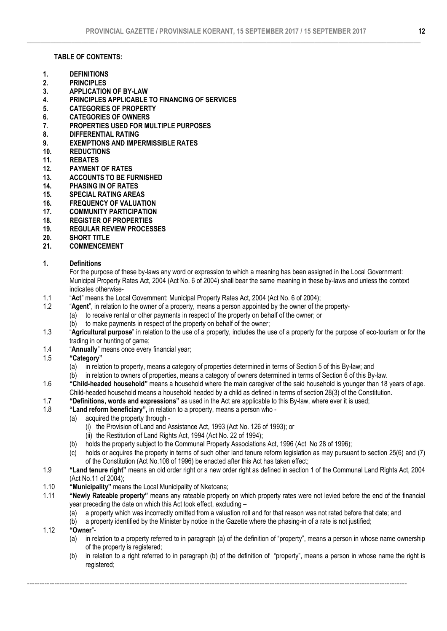### TABLE OF CONTENTS:

- 1. DEFINITIONS
- 2. PRINCIPLES<br>3 APPLICATIO
- APPLICATION OF BY-LAW
- 4. PRINCIPLES APPLICABLE TO FINANCING OF SERVICES
- 5. CATEGORIES OF PROPERTY
- 6. CATEGORIES OF OWNERS
- 7. PROPERTIES USED FOR MULTIPLE PURPOSES
- 8. DIFFERENTIAL RATING
- 9. EXEMPTIONS AND IMPERMISSIBLE RATES<br>10. REDUCTIONS
- **REDUCTIONS**
- 11. REBATES
- 12. PAYMENT OF RATES
- 13. ACCOUNTS TO BE FURNISHED<br>14. PHASING IN OF RATES
- PHASING IN OF RATES
- 15. SPECIAL RATING AREAS<br>16. FREQUENCY OF VALUAT
- **FREQUENCY OF VALUATION**
- 17. COMMUNITY PARTICIPATION
- 18. REGISTER OF PROPERTIES<br>19. REGULAR REVIEW PROCES
- 19. REGULAR REVIEW PROCESSES
- 20. SHORT TITLE
- 21. COMMENCEMENT

# 1. Definitions

 For the purpose of these by-laws any word or expression to which a meaning has been assigned in the Local Government: Municipal Property Rates Act, 2004 (Act No. 6 of 2004) shall bear the same meaning in these by-laws and unless the context indicates otherwise-

- 1.1 "Act" means the Local Government: Municipal Property Rates Act, 2004 (Act No. 6 of 2004);
- 1.2 "Agent", in relation to the owner of a property, means a person appointed by the owner of the property-
	- (a) to receive rental or other payments in respect of the property on behalf of the owner; or
		- (b) to make payments in respect of the property on behalf of the owner;
- 1.3 "Agricultural purpose" in relation to the use of a property, includes the use of a property for the purpose of eco-tourism or for the trading in or hunting of game;
- 1.4 "Annually" means once every financial year;<br>1.5 "Category"
- "Category"
	- (a) in relation to property, means a category of properties determined in terms of Section 5 of this By-law; and
	- $(b)$  in relation to owners of properties, means a category of owners determined in terms of Section 6 of this By-law.
- 1.6 "Child-headed household" means a household where the main caregiver of the said household is younger than 18 years of age. Child-headed household means a household headed by a child as defined in terms of section 28(3) of the Constitution.
- 1.7 "Definitions, words and expressions" as used in the Act are applicable to this By-law, where ever it is used:
- 1.8 "Land reform beneficiary", in relation to a property, means a person who
	- (a) acquired the property through
		- (i) the Provision of Land and Assistance Act, 1993 (Act No. 126 of 1993); or
		- (ii) the Restitution of Land Rights Act, 1994 (Act No. 22 of 1994);
	- (b) holds the property subject to the Communal Property Associations Act, 1996 (Act No 28 of 1996);
	- (c) holds or acquires the property in terms of such other land tenure reform legislation as may pursuant to section 25(6) and (7) of the Constitution (Act No.108 of 1996) be enacted after this Act has taken effect;
- 1.9 "Land tenure right" means an old order right or a new order right as defined in section 1 of the Communal Land Rights Act, 2004 (Act No.11 of 2004);
- 1.10 "Municipality" means the Local Municipality of Nketoana;<br>1.11 "Newly Rateable property" means any rateable property
	- "Newly Rateable property" means any rateable property on which property rates were not levied before the end of the financial year preceding the date on which this Act took effect, excluding –
		- $(a)$  a property which was incorrectly omitted from a valuation roll and for that reason was not rated before that date; and
		- (b) a property identified by the Minister by notice in the Gazette where the phasing-in of a rate is not justified;

- 1.12 "Owner"-
	- (a) in relation to a property referred to in paragraph (a) of the definition of "property", means a person in whose name ownership of the property is registered;
	- (b) in relation to a right referred to in paragraph (b) of the definition of "property", means a person in whose name the right is registered;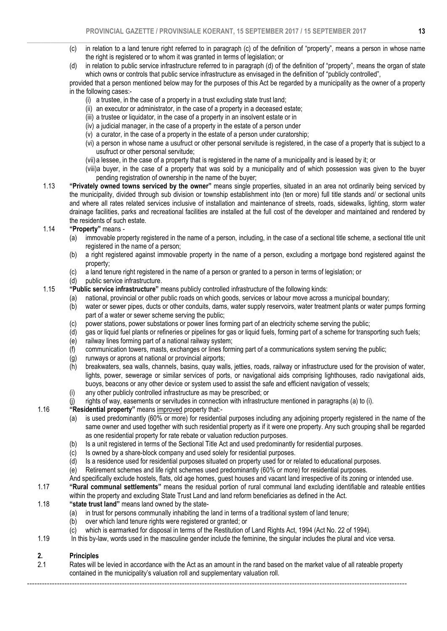- $\_$  , and the set of the set of the set of the set of the set of the set of the set of the set of the set of the set of the set of the set of the set of the set of the set of the set of the set of the set of the set of th (c) in relation to a land tenure right referred to in paragraph (c) of the definition of "property", means a person in whose name the right is registered or to whom it was granted in terms of legislation; or
	- (d) in relation to public service infrastructure referred to in paragraph (d) of the definition of "property", means the organ of state which owns or controls that public service infrastructure as envisaged in the definition of "publicly controlled",

 provided that a person mentioned below may for the purposes of this Act be regarded by a municipality as the owner of a property in the following cases:-

- (i) a trustee, in the case of a property in a trust excluding state trust land;
- (ii) an executor or administrator, in the case of a property in a deceased estate;
- (iii) a trustee or liquidator, in the case of a property in an insolvent estate or in
- (iv) a judicial manager, in the case of a property in the estate of a person under
- (v) a curator, in the case of a property in the estate of a person under curatorship;
- (vi) a person in whose name a usufruct or other personal servitude is registered, in the case of a property that is subject to a usufruct or other personal servitude;
- (vii) a lessee, in the case of a property that is registered in the name of a municipality and is leased by it; or
- (viii)a buyer, in the case of a property that was sold by a municipality and of which possession was given to the buyer pending registration of ownership in the name of the buyer;
- 1.13 "Privately owned towns serviced by the owner" means single properties, situated in an area not ordinarily being serviced by the municipality, divided through sub division or township establishment into (ten or more) full title stands and/ or sectional units and where all rates related services inclusive of installation and maintenance of streets, roads, sidewalks, lighting, storm water drainage facilities, parks and recreational facilities are installed at the full cost of the developer and maintained and rendered by the residents of such estate.<br>1.14 **"Property"** means -

# "Property" means -

- (a) immovable property registered in the name of a person, including, in the case of a sectional title scheme, a sectional title unit registered in the name of a person;
- (b) a right registered against immovable property in the name of a person, excluding a mortgage bond registered against the property;
- (c) a land tenure right registered in the name of a person or granted to a person in terms of legislation; or
- (d) public service infrastructure.
- 1.15 "Public service infrastructure" means publicly controlled infrastructure of the following kinds:
	- (a) national, provincial or other public roads on which goods, services or labour move across a municipal boundary;
		- (b) water or sewer pipes, ducts or other conduits, dams, water supply reservoirs, water treatment plants or water pumps forming part of a water or sewer scheme serving the public;
		- (c) power stations, power substations or power lines forming part of an electricity scheme serving the public;
		- (d) gas or liquid fuel plants or refineries or pipelines for gas or liquid fuels, forming part of a scheme for transporting such fuels;
		- (e) railway lines forming part of a national railway system;
	- (f) communication towers, masts, exchanges or lines forming part of a communications system serving the public;
	-
	- (g) runways or aprons at national or provincial airports;<br>(h) breakwaters, sea walls, channels, basins, quay wal breakwaters, sea walls, channels, basins, quay walls, jetties, roads, railway or infrastructure used for the provision of water, lights, power, sewerage or similar services of ports, or navigational aids comprising lighthouses, radio navigational aids, buoys, beacons or any other device or system used to assist the safe and efficient navigation of vessels;
	- (i) any other publicly controlled infrastructure as may be prescribed; or
	- (j) rights of way, easements or servitudes in connection with infrastructure mentioned in paragraphs (a) to (i).
- 1.16 "Residential property" means improved property that:-
	- (a) is used predominantly (60% or more) for residential purposes including any adjoining property registered in the name of the same owner and used together with such residential property as if it were one property. Any such grouping shall be regarded as one residential property for rate rebate or valuation reduction purposes.
	- (b) Is a unit registered in terms of the Sectional Title Act and used predominantly for residential purposes.
	- (c) Is owned by a share-block company and used solely for residential purposes.
	- (d) Is a residence used for residential purposes situated on property used for or related to educational purposes.
	- (e) Retirement schemes and life right schemes used predominantly (60% or more) for residential purposes.
	- And specifically exclude hostels, flats, old age homes, guest houses and vacant land irrespective of its zoning or intended use.
- 1.17 "Rural communal settlements" means the residual portion of rural communal land excluding identifiable and rateable entities within the property and excluding State Trust Land and land reform beneficiaries as defined in the Act.
- 1.18 "state trust land" means land owned by the state-
	- (a) in trust for persons communally inhabiting the land in terms of a traditional system of land tenure;
	- (b) over which land tenure rights were registered or granted; or
	- (c) which is earmarked for disposal in terms of the Restitution of Land Rights Act, 1994 (Act No. 22 of 1994).
- 1.19 In this by-law, words used in the masculine gender include the feminine, the singular includes the plural and vice versa.

# 2. Principles

2.1 Rates will be levied in accordance with the Act as an amount in the rand based on the market value of all rateable property contained in the municipality's valuation roll and supplementary valuation roll.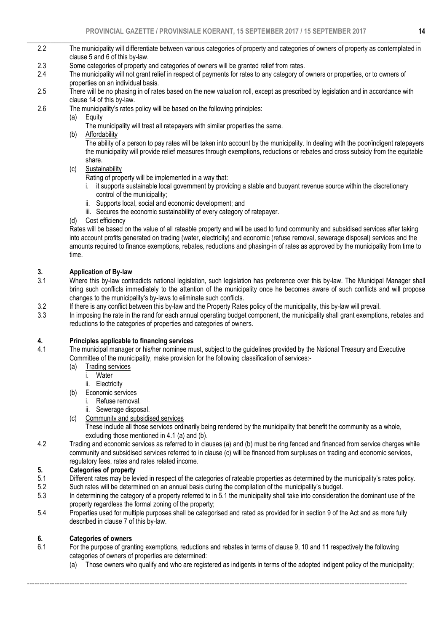- $\_$  , and the set of the set of the set of the set of the set of the set of the set of the set of the set of the set of the set of the set of the set of the set of the set of the set of the set of the set of the set of th 2.2 The municipality will differentiate between various categories of property and categories of owners of property as contemplated in clause 5 and 6 of this by-law.
	- 2.3 Some categories of property and categories of owners will be granted relief from rates.
	- 2.4 The municipality will not grant relief in respect of payments for rates to any category of owners or properties, or to owners of properties on an individual basis.
	- 2.5 There will be no phasing in of rates based on the new valuation roll, except as prescribed by legislation and in accordance with clause 14 of this by-law.
	- 2.6 The municipality's rates policy will be based on the following principles:

(a) Equity

- The municipality will treat all ratepayers with similar properties the same.
- (b) Affordability

 The ability of a person to pay rates will be taken into account by the municipality. In dealing with the poor/indigent ratepayers the municipality will provide relief measures through exemptions, reductions or rebates and cross subsidy from the equitable share.

(c) Sustainability

Rating of property will be implemented in a way that:

- i. it supports sustainable local government by providing a stable and buoyant revenue source within the discretionary control of the municipality;
- ii. Supports local, social and economic development; and
- iii. Secures the economic sustainability of every category of ratepayer.
- (d) Cost efficiency

 Rates will be based on the value of all rateable property and will be used to fund community and subsidised services after taking into account profits generated on trading (water, electricity) and economic (refuse removal, sewerage disposal) services and the amounts required to finance exemptions, rebates, reductions and phasing-in of rates as approved by the municipality from time to time.

# 3. Application of By-law

- 3.1 Where this by-law contradicts national legislation, such legislation has preference over this by-law. The Municipal Manager shall bring such conflicts immediately to the attention of the municipality once he becomes aware of such conflicts and will propose changes to the municipality's by-laws to eliminate such conflicts.
- 3.2 If there is any conflict between this by-law and the Property Rates policy of the municipality, this by-law will prevail.<br>3.3 In imposing the rate in the rand for each annual operating budget component, the municipalit
- In imposing the rate in the rand for each annual operating budget component, the municipality shall grant exemptions, rebates and reductions to the categories of properties and categories of owners.

# 4. Principles applicable to financing services

- 4.1 The municipal manager or his/her nominee must, subject to the guidelines provided by the National Treasury and Executive Committee of the municipality, make provision for the following classification of services:-
	- (a) Trading services<br>i. Water
		- Water
		- ii. Electricity
	- (b) Economic services
		- i. Refuse removal.
		- ii. Sewerage disposal.
	- (c) Community and subsidised services
		- These include all those services ordinarily being rendered by the municipality that benefit the community as a whole, excluding those mentioned in 4.1 (a) and (b).
- 4.2 Trading and economic services as referred to in clauses (a) and (b) must be ring fenced and financed from service charges while community and subsidised services referred to in clause (c) will be financed from surpluses on trading and economic services, regulatory fees, rates and rates related income.

# 5. Categories of property

- 5.1 Different rates may be levied in respect of the categories of rateable properties as determined by the municipality's rates policy.<br>5.2 Such rates will be determined on an annual basis during the compilation of the mun
- 5.2 Such rates will be determined on an annual basis during the compilation of the municipality's budget.<br>5.3 In determining the category of a property referred to in 5.1 the municipality shall take into consideration
- In determining the category of a property referred to in 5.1 the municipality shall take into consideration the dominant use of the property regardless the formal zoning of the property;
- 5.4 Properties used for multiple purposes shall be categorised and rated as provided for in section 9 of the Act and as more fully described in clause 7 of this by-law.

# 6. Categories of owners

6.1 For the purpose of granting exemptions, reductions and rebates in terms of clause 9, 10 and 11 respectively the following categories of owners of properties are determined:

--------------------------------------------------------------------------------------------------------------------------------------------------------

(a) Those owners who qualify and who are registered as indigents in terms of the adopted indigent policy of the municipality;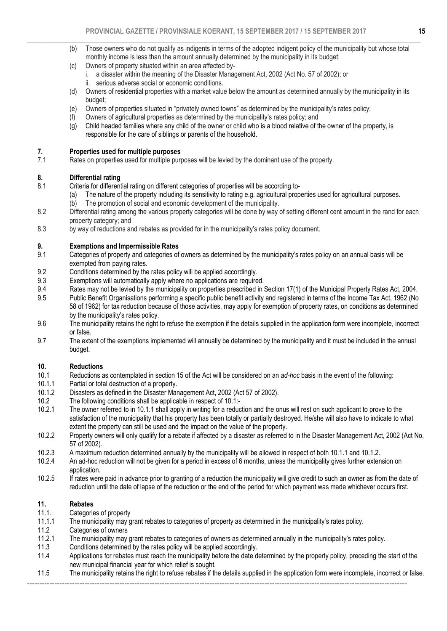- $\_$  , and the set of the set of the set of the set of the set of the set of the set of the set of the set of the set of the set of the set of the set of the set of the set of the set of the set of the set of the set of th (b) Those owners who do not qualify as indigents in terms of the adopted indigent policy of the municipality but whose total monthly income is less than the amount annually determined by the municipality in its budget;
	- (c) Owners of property situated within an area affected byi. a disaster within the meaning of the Disaster Management Act, 2002 (Act No. 57 of 2002); or ii. serious adverse social or economic conditions.
	- (d) Owners of residential properties with a market value below the amount as determined annually by the municipality in its budget;
	- (e) Owners of properties situated in "privately owned towns" as determined by the municipality's rates policy;
	- Owners of agricultural properties as determined by the municipality's rates policy; and
	- (g) Child headed families where any child of the owner or child who is a blood relative of the owner of the property, is responsible for the care of siblings or parents of the household.

# 7. Properties used for multiple purposes<br>7.1 Rates on properties used for multiple purp

Rates on properties used for multiple purposes will be levied by the dominant use of the property.

# 8. **Differential rating**<br>8.1 Criteria for different

- Criteria for differential rating on different categories of properties will be according to-
	- (a) The nature of the property including its sensitivity to rating e.g. agricultural properties used for agricultural purposes.
	- (b) The promotion of social and economic development of the municipality.
- 8.2 Differential rating among the various property categories will be done by way of setting different cent amount in the rand for each property category; and
- 8.3 by way of reductions and rebates as provided for in the municipality's rates policy document.

# 9. Exemptions and Impermissible Rates

- 9.1 Categories of property and categories of owners as determined by the municipality's rates policy on an annual basis will be exempted from paying rates.
- 9.2 Conditions determined by the rates policy will be applied accordingly.
- 9.3 Exemptions will automatically apply where no applications are required.<br>9.4 Rates may not be levied by the municipality on properties prescribed in
- Rates may not be levied by the municipality on properties prescribed in Section 17(1) of the Municipal Property Rates Act, 2004.
- 9.5 Public Benefit Organisations performing a specific public benefit activity and registered in terms of the Income Tax Act, 1962 (No 58 of 1962) for tax reduction because of those activities, may apply for exemption of property rates, on conditions as determined by the municipality's rates policy.
- 9.6 The municipality retains the right to refuse the exemption if the details supplied in the application form were incomplete, incorrect or false.
- 9.7 The extent of the exemptions implemented will annually be determined by the municipality and it must be included in the annual budget.

# 10. **Reductions**<br>10.1 **Reductions**

- 10.1 Reductions as contemplated in section 15 of the Act will be considered on an *ad-hoc* basis in the event of the following:
- 10.1.1 Partial or total destruction of a property.<br>10.1.2 Disasters as defined in the Disaster Mar
- 10.1.2 Disasters as defined in the Disaster Management Act, 2002 (Act 57 of 2002).<br>10.2 The following conditions shall be applicable in respect of 10.1:
- The following conditions shall be applicable in respect of  $10.1$ :-
- 10.2.1 The owner referred to in 10.1.1 shall apply in writing for a reduction and the onus will rest on such applicant to prove to the satisfaction of the municipality that his property has been totally or partially destroyed. He/she will also have to indicate to what extent the property can still be used and the impact on the value of the property.
- 10.2.2 Property owners will only qualify for a rebate if affected by a disaster as referred to in the Disaster Management Act, 2002 (Act No. 57 of 2002).
- 10.2.3 A maximum reduction determined annually by the municipality will be allowed in respect of both 10.1.1 and 10.1.2.<br>10.2.4 An ad-hoc reduction will not be given for a period in excess of 6 months, unless the municipal
- An ad-hoc reduction will not be given for a period in excess of 6 months, unless the municipality gives further extension on application.
- 10.2.5 If rates were paid in advance prior to granting of a reduction the municipality will give credit to such an owner as from the date of reduction until the date of lapse of the reduction or the end of the period for which payment was made whichever occurs first.

# 11. Rebates

- 11.1. Categories of property<br>11.1.1 The municipality may o
- 11.1.1 The municipality may grant rebates to categories of property as determined in the municipality's rates policy.
- 11.2 Categories of owners<br>11.2.1 The municipality may
- 11.2.1 The municipality may grant rebates to categories of owners as determined annually in the municipality's rates policy.<br>11.3 Conditions determined by the rates policy will be applied accordingly.
- Conditions determined by the rates policy will be applied accordingly.
- 11.4 Applications for rebates must reach the municipality before the date determined by the property policy, preceding the start of the new municipal financial year for which relief is sought.
- 11.5 The municipality retains the right to refuse rebates if the details supplied in the application form were incomplete, incorrect or false.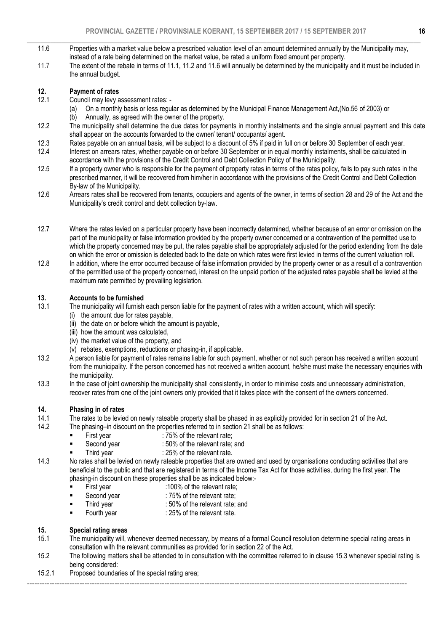- $\_$  , and the set of the set of the set of the set of the set of the set of the set of the set of the set of the set of the set of the set of the set of the set of the set of the set of the set of the set of the set of th 11.6 Properties with a market value below a prescribed valuation level of an amount determined annually by the Municipality may, instead of a rate being determined on the market value, be rated a uniform fixed amount per property.
	- 11.7 The extent of the rebate in terms of 11.1, 11.2 and 11.6 will annually be determined by the municipality and it must be included in the annual budget.

# 12. **Payment of rates**<br>12.1 Council may levy a

- Council may levy assessment rates: -
	- (a) On a monthly basis or less regular as determined by the Municipal Finance Management Act,(No.56 of 2003) or
	- (b) Annually, as agreed with the owner of the property.
- 12.2 The municipality shall determine the due dates for payments in monthly instalments and the single annual payment and this date shall appear on the accounts forwarded to the owner/ tenant/ occupants/ agent.
- 12.3 Rates payable on an annual basis, will be subject to a discount of 5% if paid in full on or before 30 September of each year.<br>12.4 Interest on arrears rates, whether payable on or before 30 September or in equal month
- Interest on arrears rates, whether payable on or before 30 September or in equal monthly instalments, shall be calculated in accordance with the provisions of the Credit Control and Debt Collection Policy of the Municipality.
- 12.5 If a property owner who is responsible for the payment of property rates in terms of the rates policy, fails to pay such rates in the prescribed manner, it will be recovered from him/her in accordance with the provisions of the Credit Control and Debt Collection By-law of the Municipality.
- 12.6 Arrears rates shall be recovered from tenants, occupiers and agents of the owner, in terms of section 28 and 29 of the Act and the Municipality's credit control and debt collection by-law.
- 12.7 Where the rates levied on a particular property have been incorrectly determined, whether because of an error or omission on the part of the municipality or false information provided by the property owner concerned or a contravention of the permitted use to which the property concerned may be put, the rates payable shall be appropriately adjusted for the period extending from the date on which the error or omission is detected back to the date on which rates were first levied in terms of the current valuation roll.
- 12.8 In addition, where the error occurred because of false information provided by the property owner or as a result of a contravention of the permitted use of the property concerned, interest on the unpaid portion of the adjusted rates payable shall be levied at the maximum rate permitted by prevailing legislation.

# 13. Accounts to be furnished

- 13.1 The municipality will furnish each person liable for the payment of rates with a written account, which will specify:
	- (i) the amount due for rates payable,
	- (ii) the date on or before which the amount is payable,
	- (iii) how the amount was calculated,
	- (iv) the market value of the property, and
	- (v) rebates, exemptions, reductions or phasing-in, if applicable.
- 13.2 A person liable for payment of rates remains liable for such payment, whether or not such person has received a written account from the municipality. If the person concerned has not received a written account, he/she must make the necessary enquiries with the municipality.
- 13.3 In the case of joint ownership the municipality shall consistently, in order to minimise costs and unnecessary administration, recover rates from one of the joint owners only provided that it takes place with the consent of the owners concerned.

# 14. Phasing in of rates

- 14.1 The rates to be levied on newly rateable property shall be phased in as explicitly provided for in section 21 of the Act.
- 14.2 The phasing–in discount on the properties referred to in section 21 shall be as follows:
	- First year : 75% of the relevant rate;
	- Second year : 50% of the relevant rate; and
	- Third year : 25% of the relevant rate.
- 14.3 No rates shall be levied on newly rateable properties that are owned and used by organisations conducting activities that are beneficial to the public and that are registered in terms of the Income Tax Act for those activities, during the first year. The phasing-in discount on these properties shall be as indicated below:-<br>First year 100% of the relevant rate;
	- First year :100% of the relevant rate;<br>■ Second year :75% of the relevant rate;
	- Second year : 75% of the relevant rate;
	- Third year : 50% of the relevant rate; and
	- Fourth year : 25% of the relevant rate.

# 15. Special rating areas

- 15.1 The municipality will, whenever deemed necessary, by means of a formal Council resolution determine special rating areas in consultation with the relevant communities as provided for in section 22 of the Act.
- 15.2 The following matters shall be attended to in consultation with the committee referred to in clause 15.3 whenever special rating is being considered:
- 15.2.1 Proposed boundaries of the special rating area;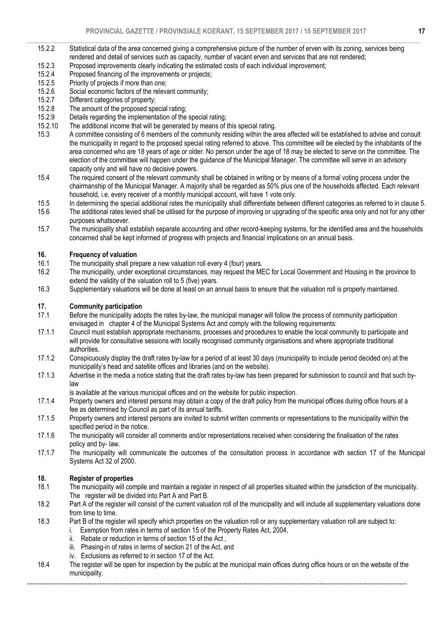- $\_$  , and the set of the set of the set of the set of the set of the set of the set of the set of the set of the set of the set of the set of the set of the set of the set of the set of the set of the set of the set of th 15.2.2 Statistical data of the area concerned giving a comprehensive picture of the number of erven with its zoning, services being rendered and detail of services such as capacity, number of vacant erven and services that are not rendered;
	- 15.2.3 Proposed improvements clearly indicating the estimated costs of each individual improvement;
	- 15.2.4 Proposed financing of the improvements or projects;
	- 15.2.5 Priority of projects if more than one;<br>15.2.6 Social economic factors of the relevi
	- 15.2.6 Social economic factors of the relevant community;<br>15.2.7 Different categories of property;
	- 15.2.7 Different categories of property;<br>15.2.8 The amount of the proposed spe
	- 15.2.8 The amount of the proposed special rating;<br>15.2.9 Details regarding the implementation of the
	- Details regarding the implementation of the special rating;
	- 15.2.10 The additional income that will be generated by means of this special rating.
	- 15.3 A committee consisting of 6 members of the community residing within the area affected will be established to advise and consult the municipality in regard to the proposed special rating referred to above. This committee will be elected by the inhabitants of the area concerned who are 18 years of age or older. No person under the age of 18 may be elected to serve on the committee. The election of the committee will happen under the guidance of the Municipal Manager. The committee will serve in an advisory capacity only and will have no decisive powers.
	- 15.4 The required consent of the relevant community shall be obtained in writing or by means of a formal voting process under the chairmanship of the Municipal Manager. A majority shall be regarded as 50% plus one of the households affected. Each relevant household, i.e. every receiver of a monthly municipal account, will have 1 vote only.<br>In determining the special additional rates the municipality shall differentiate between
	- In determining the special additional rates the municipality shall differentiate between different categories as referred to in clause 5.
	- 15.6 The additional rates levied shall be utilised for the purpose of improving or upgrading of the specific area only and not for any other purposes whatsoever.<br>15.7 The municipality shall
	- The municipality shall establish separate accounting and other record-keeping systems, for the identified area and the households concerned shall be kept informed of progress with projects and financial implications on an annual basis.

# **16.** Frequency of valuation<br>16.1 The municipality shall pre

- The municipality shall prepare a new valuation roll every 4 (four) years.
- 16.2 The municipality, under exceptional circumstances, may request the MEC for Local Government and Housing in the province to extend the validity of the valuation roll to 5 (five) years.<br>16.3 Supplementary valuations will be done at least on an a
- Supplementary valuations will be done at least on an annual basis to ensure that the valuation roll is properly maintained.

# 17. **Community participation**<br>17.1 Before the municipality add

- Before the municipality adopts the rates by-law, the municipal manager will follow the process of community participation envisaged in chapter 4 of the Municipal Systems Act and comply with the following requirements:<br>17.1.1 Council must establish appropriate mechanisms, processes and procedures to enable the local cor
- Council must establish appropriate mechanisms, processes and procedures to enable the local community to participate and will provide for consultative sessions with locally recognised community organisations and where appropriate traditional authorities.
- 17.1.2 Conspicuously display the draft rates by-law for a period of at least 30 days (municipality to include period decided on) at the municipality's head and satellite offices and libraries (and on the website).<br>17.1.3 Advertise in the media a notice stating that the draft rates by-law has been
- Advertise in the media a notice stating that the draft rates by-law has been prepared for submission to council and that such bylaw
- is available at the various municipal offices and on the website for public inspection.<br>17.1.4 Property owners and interest persons may obtain a copy of the draft policy from the
- Property owners and interest persons may obtain a copy of the draft policy from the municipal offices during office hours at a fee as determined by Council as part of its annual tariffs.<br>17.1.5 Property owners and interest persons are invited to subm
- Property owners and interest persons are invited to submit written comments or representations to the municipality within the specified period in the notice.
- 17.1.6 The municipality will consider all comments and/or representations received when considering the finalisation of the rates policy and by- law.
- 17.1.7 The municipality will communicate the outcomes of the consultation process in accordance with section 17 of the Municipal Systems Act 32 of 2000.

# **18. Register of properties**<br>18.1 The municipality will con

- The municipality will compile and maintain a register in respect of all properties situated within the jurisdiction of the municipality. The register will be divided into Part A and Part B.
- 18.2 Part A of the register will consist of the current valuation roll of the municipality and will include all supplementary valuations done from time to time.
- 18.3 Part B of the register will specify which properties on the valuation roll or any supplementary valuation roll are subject to:
	- i. Exemption from rates in terms of section 15 of the Property Rates Act, 2004,
	- ii. Rebate or reduction in terms of section 15 of the Act ,
	- iii. Phasing-in of rates in terms of section 21 of the Act, and
	- iv. Exclusions as referred to in section 17 of the Act.
- 18.4 The register will be open for inspection by the public at the municipal main offices during office hours or on the website of the municipality.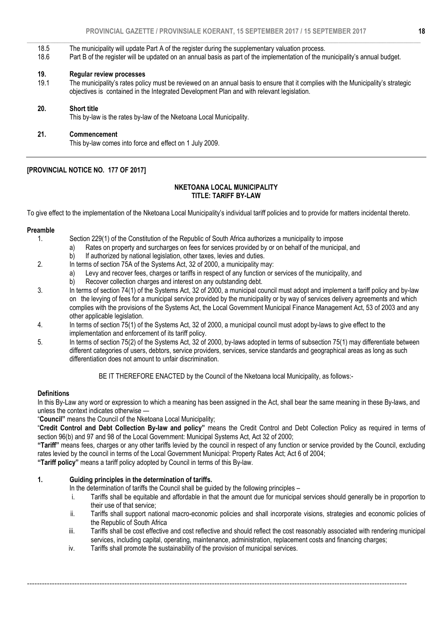- 18.5 The municipality will update Part A of the register during the supplementary valuation process.
- 18.6 Part B of the register will be updated on an annual basis as part of the implementation of the municipality's annual budget.

#### 19. Regular review processes

19.1 The municipality's rates policy must be reviewed on an annual basis to ensure that it complies with the Municipality's strategic objectives is contained in the Integrated Development Plan and with relevant legislation.

#### 20. Short title

This by-law is the rates by-law of the Nketoana Local Municipality.

#### 21. Commencement

This by-law comes into force and effect on 1 July 2009.

# [PROVINCIAL NOTICE NO. 177 OF 2017]

#### NKETOANA LOCAL MUNICIPALITY TITLE: TARIFF BY-LAW

To give effect to the implementation of the Nketoana Local Municipality's individual tariff policies and to provide for matters incidental thereto.

# Preamble

- Section 229(1) of the Constitution of the Republic of South Africa authorizes a municipality to impose
	- a) Rates on property and surcharges on fees for services provided by or on behalf of the municipal, and
		- b) If authorized by national legislation, other taxes, levies and duties.
- 2. In terms of section 75A of the Systems Act, 32 of 2000, a municipality may:
	- a) Levy and recover fees, charges or tariffs in respect of any function or services of the municipality, and
	- b) Recover collection charges and interest on any outstanding debt.
- 3. In terms of section 74(1) of the Systems Act, 32 of 2000, a municipal council must adopt and implement a tariff policy and by-law on the levying of fees for a municipal service provided by the municipality or by way of services delivery agreements and which complies with the provisions of the Systems Act, the Local Government Municipal Finance Management Act, 53 of 2003 and any other applicable legislation.
- 4. In terms of section 75(1) of the Systems Act, 32 of 2000, a municipal council must adopt by-laws to give effect to the implementation and enforcement of its tariff policy.
- 5. In terms of section 75(2) of the Systems Act, 32 of 2000, by-laws adopted in terms of subsection 75(1) may differentiate between different categories of users, debtors, service providers, services, service standards and geographical areas as long as such differentiation does not amount to unfair discrimination.

BE IT THEREFORE ENACTED by the Council of the Nketoana local Municipality, as follows:-

#### **Definitions**

In this By-Law any word or expression to which a meaning has been assigned in the Act, shall bear the same meaning in these By-laws, and unless the context indicates otherwise —

#### "Council" means the Council of the Nketoana Local Municipality;

"Credit Control and Debt Collection By-law and policy" means the Credit Control and Debt Collection Policy as required in terms of section 96(b) and 97 and 98 of the Local Government: Municipal Systems Act, Act 32 of 2000;

"Tariff" means fees, charges or any other tariffs levied by the council in respect of any function or service provided by the Council, excluding rates levied by the council in terms of the Local Government Municipal: Property Rates Act; Act 6 of 2004;

"Tariff policy" means a tariff policy adopted by Council in terms of this By-law.

# 1. Guiding principles in the determination of tariffs.

In the determination of tariffs the Council shall be guided by the following principles –

- i. Tariffs shall be equitable and affordable in that the amount due for municipal services should generally be in proportion to their use of that service;
- ii. Tariffs shall support national macro-economic policies and shall incorporate visions, strategies and economic policies of the Republic of South Africa
- iii. Tariffs shall be cost effective and cost reflective and should reflect the cost reasonably associated with rendering municipal services, including capital, operating, maintenance, administration, replacement costs and financing charges;

--------------------------------------------------------------------------------------------------------------------------------------------------------

iv. Tariffs shall promote the sustainability of the provision of municipal services.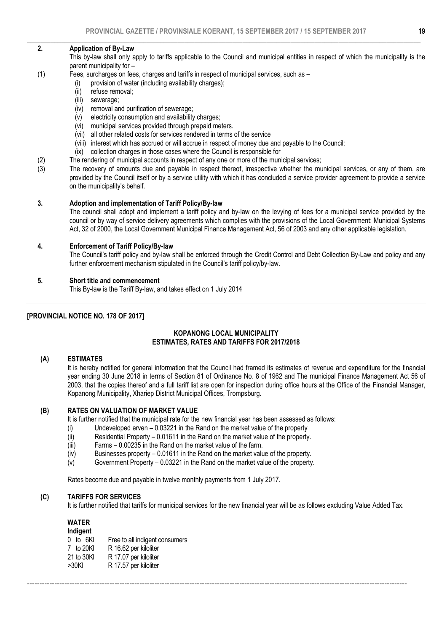#### $\_$  , and the set of the set of the set of the set of the set of the set of the set of the set of the set of the set of the set of the set of the set of the set of the set of the set of the set of the set of the set of th 2. Application of By-Law

 This by-law shall only apply to tariffs applicable to the Council and municipal entities in respect of which the municipality is the parent municipality for –

- (1) Fees, surcharges on fees, charges and tariffs in respect of municipal services, such as
	- (i) provision of water (including availability charges);<br>(ii) refuse removal;
	- refuse removal:
	- (iii) sewerage;
	- (iv) removal and purification of sewerage;
	- (v) electricity consumption and availability charges;
	- (vi) municipal services provided through prepaid meters.
	- (vii) all other related costs for services rendered in terms of the service
	- (viii) interest which has accrued or will accrue in respect of money due and payable to the Council;
	- (ix) collection charges in those cases where the Council is responsible for
- (2) The rendering of municipal accounts in respect of any one or more of the municipal services;<br>(3) The recovery of amounts due and payable in respect thereof, irrespective whether the mu
- The recovery of amounts due and payable in respect thereof, irrespective whether the municipal services, or any of them, are provided by the Council itself or by a service utility with which it has concluded a service provider agreement to provide a service on the municipality's behalf.

#### 3. Adoption and implementation of Tariff Policy/By-law

 The council shall adopt and implement a tariff policy and by-law on the levying of fees for a municipal service provided by the council or by way of service delivery agreements which complies with the provisions of the Local Government: Municipal Systems Act, 32 of 2000, the Local Government Municipal Finance Management Act, 56 of 2003 and any other applicable legislation.

#### 4. Enforcement of Tariff Policy/By-law

 The Council's tariff policy and by-law shall be enforced through the Credit Control and Debt Collection By-Law and policy and any further enforcement mechanism stipulated in the Council's tariff policy/by-law.

#### 5. Short title and commencement

This By-law is the Tariff By-law, and takes effect on 1 July 2014

# [PROVINCIAL NOTICE NO. 178 OF 2017]

### KOPANONG LOCAL MUNICIPALITY ESTIMATES, RATES AND TARIFFS FOR 2017/2018

#### (A) ESTIMATES

It is hereby notified for general information that the Council had framed its estimates of revenue and expenditure for the financial year ending 30 June 2018 in terms of Section 81 of Ordinance No. 8 of 1962 and The municipal Finance Management Act 56 of 2003, that the copies thereof and a full tariff list are open for inspection during office hours at the Office of the Financial Manager, Kopanong Municipality, Xhariep District Municipal Offices, Trompsburg.

#### (B) RATES ON VALUATION OF MARKET VALUE

It is further notified that the municipal rate for the new financial year has been assessed as follows:

- (i) Undeveloped erven 0.03221 in the Rand on the market value of the property
- (ii) Residential Property 0.01611 in the Rand on the market value of the property.
- (iii) Farms 0.00235 in the Rand on the market value of the farm.
- (iv) Businesses property 0.01611 in the Rand on the market value of the property.
- (v) Government Property 0.03221 in the Rand on the market value of the property.

Rates become due and payable in twelve monthly payments from 1 July 2017.

#### (C) TARIFFS FOR SERVICES

It is further notified that tariffs for municipal services for the new financial year will be as follows excluding Value Added Tax.

--------------------------------------------------------------------------------------------------------------------------------------------------------

# WATER

| Indigent     |                                |  |  |  |  |
|--------------|--------------------------------|--|--|--|--|
| $0$ to $6Kl$ | Free to all indigent consumers |  |  |  |  |
| 7 to 20KI    | R 16.62 per kiloliter          |  |  |  |  |
| 21 to 30KI   | R 17.07 per kiloliter          |  |  |  |  |
| >30KI        | R 17.57 per kiloliter          |  |  |  |  |